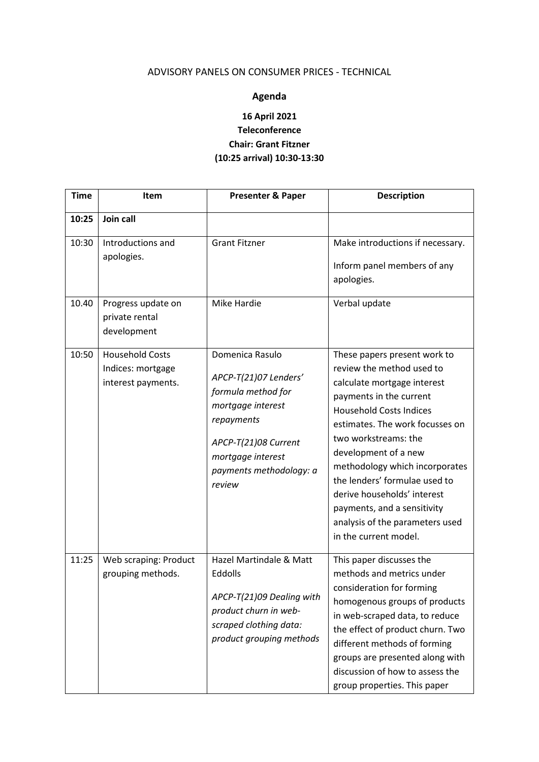## ADVISORY PANELS ON CONSUMER PRICES - TECHNICAL

## **Agenda**

## **16 April 2021 Teleconference Chair: Grant Fitzner (10:25 arrival) 10:30-13:30**

| <b>Time</b>    | Item                                                                                   | <b>Presenter &amp; Paper</b>                                                                                                                                                        | <b>Description</b>                                                                                                                                                                                                                                                                                                                                                                                                                    |
|----------------|----------------------------------------------------------------------------------------|-------------------------------------------------------------------------------------------------------------------------------------------------------------------------------------|---------------------------------------------------------------------------------------------------------------------------------------------------------------------------------------------------------------------------------------------------------------------------------------------------------------------------------------------------------------------------------------------------------------------------------------|
| 10:25          | Join call                                                                              |                                                                                                                                                                                     |                                                                                                                                                                                                                                                                                                                                                                                                                                       |
| 10:30<br>10.40 | Introductions and<br>apologies.<br>Progress update on<br>private rental<br>development | <b>Grant Fitzner</b><br>Mike Hardie                                                                                                                                                 | Make introductions if necessary.<br>Inform panel members of any<br>apologies.<br>Verbal update                                                                                                                                                                                                                                                                                                                                        |
| 10:50          | <b>Household Costs</b><br>Indices: mortgage<br>interest payments.                      | Domenica Rasulo<br>APCP-T(21)07 Lenders'<br>formula method for<br>mortgage interest<br>repayments<br>APCP-T(21)08 Current<br>mortgage interest<br>payments methodology: a<br>review | These papers present work to<br>review the method used to<br>calculate mortgage interest<br>payments in the current<br><b>Household Costs Indices</b><br>estimates. The work focusses on<br>two workstreams: the<br>development of a new<br>methodology which incorporates<br>the lenders' formulae used to<br>derive households' interest<br>payments, and a sensitivity<br>analysis of the parameters used<br>in the current model. |
| 11:25          | Web scraping: Product<br>grouping methods.                                             | Hazel Martindale & Matt<br>Eddolls<br>APCP-T(21)09 Dealing with<br>product churn in web-<br>scraped clothing data:<br>product grouping methods                                      | This paper discusses the<br>methods and metrics under<br>consideration for forming<br>homogenous groups of products<br>in web-scraped data, to reduce<br>the effect of product churn. Two<br>different methods of forming<br>groups are presented along with<br>discussion of how to assess the<br>group properties. This paper                                                                                                       |